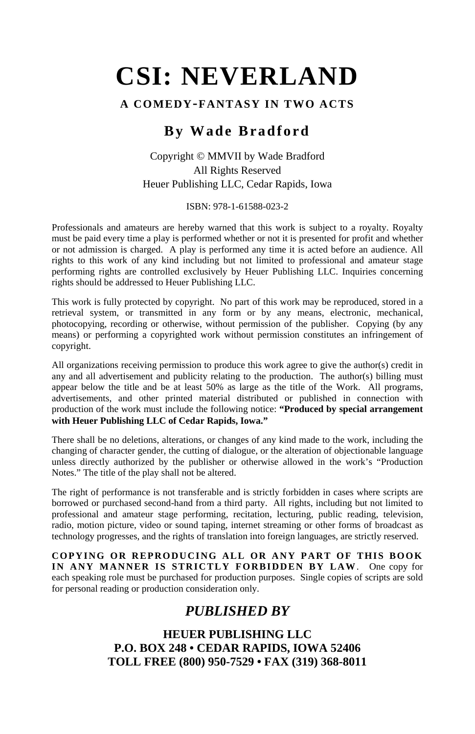#### **A COMEDY-FANTASY IN TWO ACTS**

## **By Wade Bradford**

#### Copyright © MMVII by Wade Bradford All Rights Reserved Heuer Publishing LLC, Cedar Rapids, Iowa

#### ISBN: 978-1-61588-023-2

Professionals and amateurs are hereby warned that this work is subject to a royalty. Royalty must be paid every time a play is performed whether or not it is presented for profit and whether or not admission is charged. A play is performed any time it is acted before an audience. All rights to this work of any kind including but not limited to professional and amateur stage performing rights are controlled exclusively by Heuer Publishing LLC. Inquiries concerning rights should be addressed to Heuer Publishing LLC.

This work is fully protected by copyright. No part of this work may be reproduced, stored in a retrieval system, or transmitted in any form or by any means, electronic, mechanical, photocopying, recording or otherwise, without permission of the publisher. Copying (by any means) or performing a copyrighted work without permission constitutes an infringement of copyright.

All organizations receiving permission to produce this work agree to give the author(s) credit in any and all advertisement and publicity relating to the production. The author(s) billing must appear below the title and be at least 50% as large as the title of the Work. All programs, advertisements, and other printed material distributed or published in connection with production of the work must include the following notice: **"Produced by special arrangement with Heuer Publishing LLC of Cedar Rapids, Iowa."**

There shall be no deletions, alterations, or changes of any kind made to the work, including the changing of character gender, the cutting of dialogue, or the alteration of objectionable language unless directly authorized by the publisher or otherwise allowed in the work's "Production Notes." The title of the play shall not be altered.

The right of performance is not transferable and is strictly forbidden in cases where scripts are borrowed or purchased second-hand from a third party. All rights, including but not limited to professional and amateur stage performing, recitation, lecturing, public reading, television, radio, motion picture, video or sound taping, internet streaming or other forms of broadcast as technology progresses, and the rights of translation into foreign languages, are strictly reserved.

**COPYING OR REPRODUCING ALL OR ANY PART OF THIS BOOK IN ANY MANNER IS STRICTLY FORBIDDEN BY LAW**. One copy for each speaking role must be purchased for production purposes. Single copies of scripts are sold for personal reading or production consideration only.

## *PUBLISHED BY*

**HEUER PUBLISHING LLC P.O. BOX 248 • CEDAR RAPIDS, IOWA 52406 TOLL FREE (800) 950-7529 • FAX (319) 368-8011**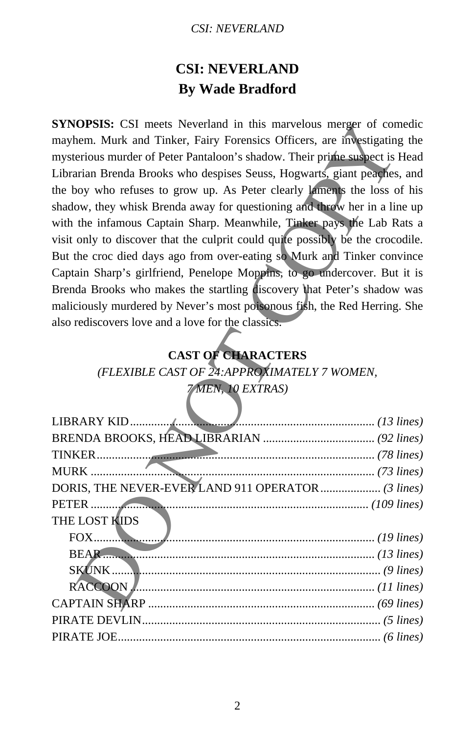## **CSI: NEVERLAND By Wade Bradford**

**SYNOPSIS:** CSI meets Neverland in this marvelous merger of comedic mayhem. Murk and Tinker, Fairy Forensics Officers, are investigating the mysterious murder of Peter Pantaloon's shadow. Their prime suspect is Head Librarian Brenda Brooks who despises Seuss, Hogwarts, giant peaches, and the boy who refuses to grow up. As Peter clearly laments the loss of his shadow, they whisk Brenda away for questioning and throw her in a line up with the infamous Captain Sharp. Meanwhile, Tinker pays the Lab Rats a visit only to discover that the culprit could quite possibly be the crocodile. But the croc died days ago from over-eating so Murk and Tinker convince Captain Sharp's girlfriend, Penelope Moppins, to go undercover. But it is Brenda Brooks who makes the startling discovery that Peter's shadow was maliciously murdered by Never's most poisonous fish, the Red Herring. She also rediscovers love and a love for the classics. **OPSIS:** CSI meets Neverland in this marvelous merger of conductions much a minic material conduction and minic method in the method in the method in the method Brook who despises Seuss, Hogwarts, giant peagles on you are

## **CAST OF CHARACTERS**

*(FLEXIBLE CAST OF 24:APPROXIMATELY 7 WOMEN,* 

## *7 MEN, 10 EXTRAS)*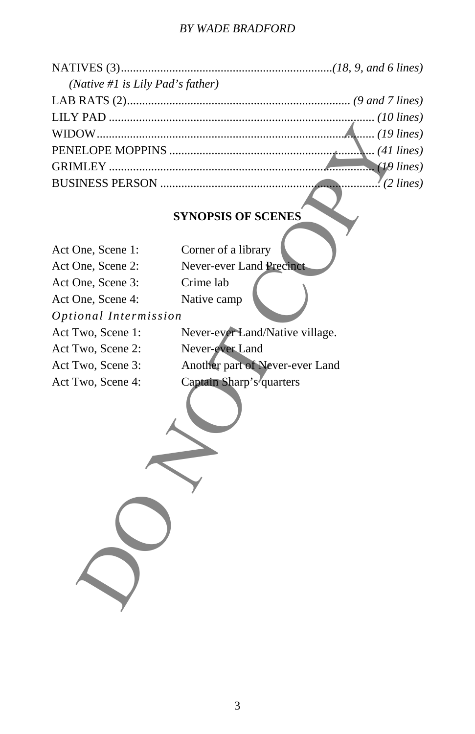#### *BY WADE BRADFORD*

| (Native #1 is Lily Pad's father) |  |
|----------------------------------|--|
|                                  |  |
|                                  |  |
|                                  |  |
|                                  |  |
|                                  |  |
|                                  |  |
|                                  |  |

# **SYNOPSIS OF SCENES**

|                       | (41)                            |  |
|-----------------------|---------------------------------|--|
|                       | (19 l                           |  |
|                       | ' (2 l                          |  |
|                       |                                 |  |
|                       | <b>SYNOPSIS OF SCENES</b>       |  |
|                       |                                 |  |
| Act One, Scene 1:     | Corner of a library             |  |
| Act One, Scene 2:     | Never-ever Land Precinct        |  |
| Act One, Scene 3:     | Crime lab                       |  |
| Act One, Scene 4:     | Native camp                     |  |
| Optional Intermission |                                 |  |
| Act Two, Scene 1:     | Never-ever-Land/Native village. |  |
| Act Two, Scene 2:     | Never-ever Land                 |  |
| Act Two, Scene 3:     | Another part of Never-ever Land |  |
| Act Two, Scene 4:     | Captain Sharp's'quarters        |  |
|                       |                                 |  |
|                       |                                 |  |
|                       |                                 |  |
|                       |                                 |  |
|                       |                                 |  |
|                       |                                 |  |
|                       |                                 |  |
|                       |                                 |  |
|                       |                                 |  |
|                       |                                 |  |
|                       |                                 |  |
|                       |                                 |  |
|                       |                                 |  |
|                       |                                 |  |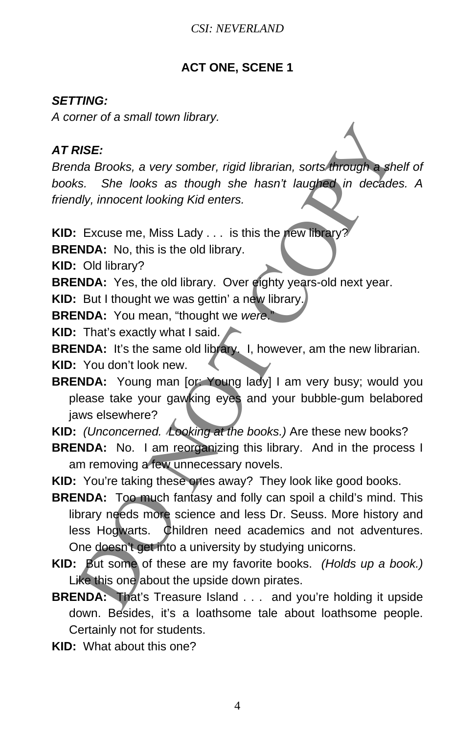#### **ACT ONE, SCENE 1**

#### *SETTING:*

*A corner of a small town library.* 

#### *AT RISE:*

*Brenda Brooks, a very somber, rigid librarian, sorts through a shelf of books. She looks as though she hasn't laughed in decades. A friendly, innocent looking Kid enters.* 

**KID:** Excuse me, Miss Lady . . . is this the new library?

**BRENDA:** No, this is the old library.

**KID:** Old library?

**BRENDA:** Yes, the old library. Over eighty years-old next year.

**KID:** But I thought we was gettin' a new library.

**BRENDA:** You mean, "thought we *were*."

**KID:** That's exactly what I said.

**BRENDA:** It's the same old library. I, however, am the new librarian.

**KID:** You don't look new.

**BRENDA:** Young man [or: Young lady] I am very busy; would you please take your gawking eyes and your bubble-gum belabored jaws elsewhere?

**KID:** *(Unconcerned. Looking at the books.)* Are these new books?

**BRENDA:** No. I am reorganizing this library. And in the process I am removing a few unnecessary novels.

**KID:** You're taking these ones away? They look like good books.

- **BRENDA:** Too much fantasy and folly can spoil a child's mind. This library needs more science and less Dr. Seuss. More history and less Hogwarts. Children need academics and not adventures. One doesn't get into a university by studying unicorns. **RISE:**<br>
Artistical Brooks, a very somber, rigid librarian, sorts through a she<br>
dd, librarian, sorts through a she<br>
ddy, innocent looking Kid enters.<br>
Excuse me, Miss Lady ... is this the eew library?<br>
NOA: No, this is th
- **KID:** But some of these are my favorite books. *(Holds up a book.)* Like this one about the upside down pirates.
- **BRENDA:** That's Treasure Island . . . and you're holding it upside down. Besides, it's a loathsome tale about loathsome people. Certainly not for students.

**KID:** What about this one?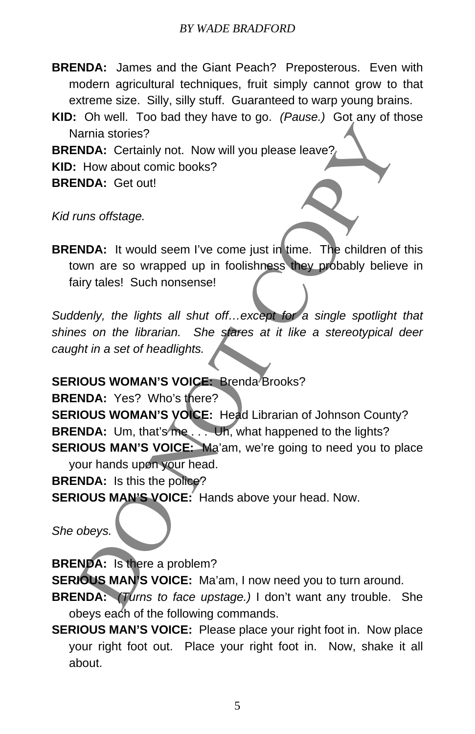- **BRENDA:** James and the Giant Peach? Preposterous. Even with modern agricultural techniques, fruit simply cannot grow to that extreme size. Silly, silly stuff. Guaranteed to warp young brains.
- **KID:** Oh well. Too bad they have to go. *(Pause.)* Got any of those Narnia stories?

**BRENDA:** Certainly not. Now will you please leave?

**KID:** How about comic books?

**BRENDA:** Get out!

*Kid runs offstage.* 

**BRENDA:** It would seem I've come just in time. The children of this town are so wrapped up in foolishness they probably believe in fairy tales! Such nonsense!

*Suddenly, the lights all shut off…except for a single spotlight that shines on the librarian. She stares at it like a stereotypical deer caught in a set of headlights.* 

**SERIOUS WOMAN'S VOICE: Brenda Brooks?** 

**BRENDA:** Yes? Who's there? **SERIOUS WOMAN'S VOICE:** Head Librarian of Johnson County? **BRENDA:** Um, that's me. . . Uh, what happened to the lights? **SERIOUS MAN'S VOICE:** Ma'am, we're going to need you to place your hands upon your head. Iamia stories?<br>
NDA: Certainly not. Now will you please leave?<br>
How about comic books?<br>
NDA: Her would seem I've come just in time. The children of<br>
wom are so wrapped up in foolishness they probably believ<br>
siny tales! Su

**BRENDA:** Is this the police?

**SERIOUS MAN'S VOICE:** Hands above your head. Now.

*She obeys.* 

**BRENDA:** Is there a problem?

**SERIOUS MAN'S VOICE:** Ma'am, I now need you to turn around.

**BRENDA:** *(Turns to face upstage.)* I don't want any trouble. She obeys each of the following commands.

**SERIOUS MAN'S VOICE:** Please place your right foot in. Now place your right foot out. Place your right foot in. Now, shake it all about.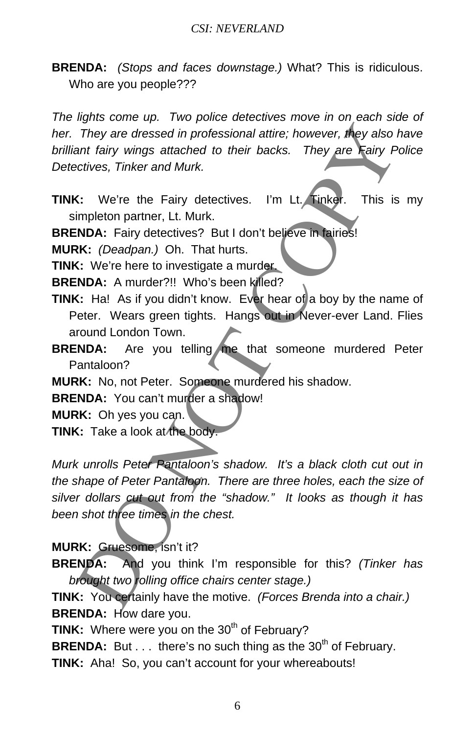**BRENDA:** *(Stops and faces downstage.)* What? This is ridiculous. Who are you people???

*The lights come up. Two police detectives move in on each side of her. They are dressed in professional attire; however, they also have brilliant fairy wings attached to their backs. They are Fairy Police Detectives, Tinker and Murk.* 

**TINK:** We're the Fairy detectives. I'm Lt. Tinker. This is my simpleton partner, Lt. Murk.

**BRENDA:** Fairy detectives? But I don't believe in fairies!

**MURK:** *(Deadpan.)* Oh. That hurts.

**TINK:** We're here to investigate a murder.

BRENDA: A murder?!! Who's been killed?

- **TINK:** Ha! As if you didn't know. Ever hear of a boy by the name of Peter. Wears green tights. Hangs out in Never-ever Land. Flies around London Town.
- **BRENDA:** Are you telling me that someone murdered Peter Pantaloon?

**MURK:** No, not Peter. Someone murdered his shadow.

**BRENDA:** You can't murder a shadow!

**MURK:** Oh yes you can.

**TINK:** Take a look at the body.

*Murk unrolls Peter Pantaloon's shadow. It's a black cloth cut out in the shape of Peter Pantaloon. There are three holes, each the size of silver dollars cut out from the "shadow." It looks as though it has been shot three times in the chest.*  They are dressed in professional attire; however, they also in<br>they are dressed in professional attire; however, they are  $\pi$ iny  $P$ <br>ant fairy wings attached to their backs. They are  $\pi$ iny  $P$ <br>actives, Tinker and Murk.<br>

#### **MURK:** Gruesome, isn't it?

**BRENDA:** And you think I'm responsible for this? *(Tinker has brought two rolling office chairs center stage.)* 

**TINK:** You certainly have the motive. *(Forces Brenda into a chair.)* **BRENDA:** How dare you.

**TINK:** Where were you on the 30<sup>th</sup> of February?

**BRENDA:** But . . . there's no such thing as the 30<sup>th</sup> of February.

**TINK:** Aha! So, you can't account for your whereabouts!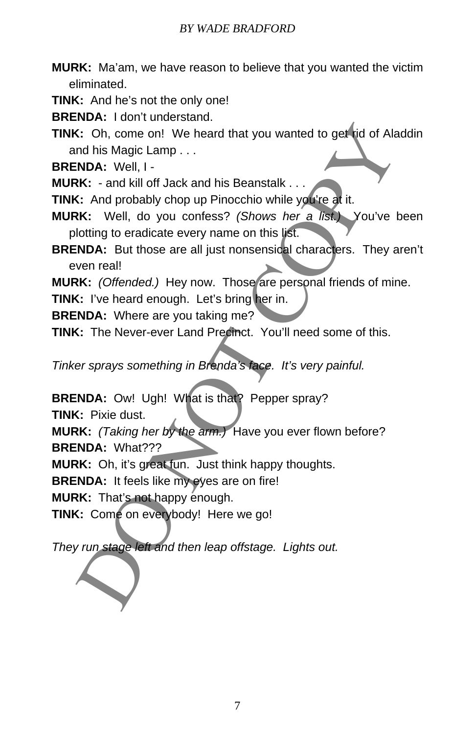#### *BY WADE BRADFORD*

**MURK:** Ma'am, we have reason to believe that you wanted the victim eliminated.

**TINK:** And he's not the only one!

**BRENDA:** I don't understand.

**TINK:** Oh, come on! We heard that you wanted to get rid of Aladdin and his Magic Lamp . . . (: Oh, come on! We heard that you wanted to get id of Ala<br>
INDA: Well, I<br>
INDA: Well, I<br>
INDA: Well, if Jack and his Beanstalk...<br>
KK: - and kill off Jack and his Beanstalk...<br>
KK: Well, do you confess? (Shows her a list)

**BRENDA:** Well, I -

**MURK:** - and kill off Jack and his Beanstalk . . .

**TINK:** And probably chop up Pinocchio while you're at it.

**MURK:** Well, do you confess? *(Shows her a list.)* You've been plotting to eradicate every name on this list.

**BRENDA:** But those are all just nonsensical characters. They aren't even real!

**MURK:** *(Offended.)* Hey now. Those are personal friends of mine.

**TINK:** I've heard enough. Let's bring her in.

**BRENDA:** Where are you taking me?

**TINK:** The Never-ever Land Precinct. You'll need some of this.

*Tinker sprays something in Brenda's face. It's very painful.* 

**BRENDA:** Ow! Ugh! What is that? Pepper spray?

**TINK:** Pixie dust.

**MURK:** *(Taking her by the arm.)* Have you ever flown before? **BRENDA:** What???

**MURK:** Oh, it's great fun. Just think happy thoughts.

**BRENDA:** It feels like my eyes are on fire!

**MURK:** That's not happy enough.

**TINK:** Come on everybody! Here we go!

*They run stage left and then leap offstage. Lights out.*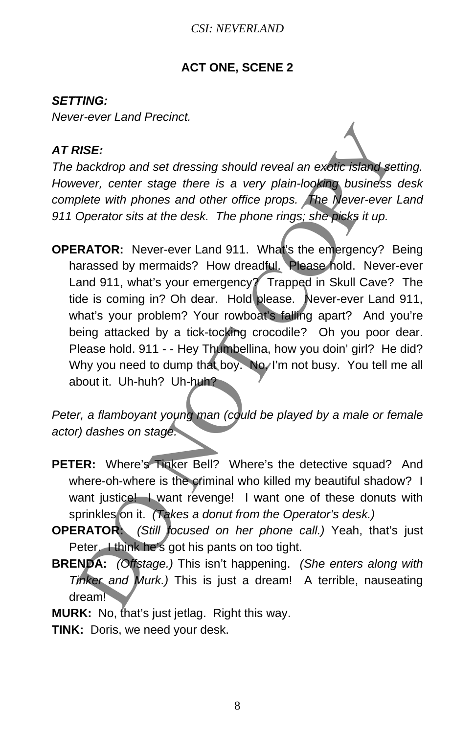#### **ACT ONE, SCENE 2**

#### *SETTING:*

*Never-ever Land Precinct.* 

#### *AT RISE:*

*The backdrop and set dressing should reveal an exotic island setting. However, center stage there is a very plain-looking business desk complete with phones and other office props. The Never-ever Land 911 Operator sits at the desk. The phone rings; she picks it up.* 

**OPERATOR:** Never-ever Land 911. What's the emergency? Being harassed by mermaids? How dreadful. Please hold. Never-ever Land 911, what's your emergency? Trapped in Skull Cave? The tide is coming in? Oh dear. Hold please. Never-ever Land 911, what's your problem? Your rowboat's falling apart? And you're being attacked by a tick-tocking crocodile? Oh you poor dear. Please hold. 911 - - Hey Thumbellina, how you doin' girl? He did? Why you need to dump that boy. No, I'm not busy. You tell me all about it. Uh-huh? Uh-huh? **RISE:**<br> **RECONSTENTS AND A** Subsiding thould reveal an exotic island see ever, center stage there is a very plain-looking business<br>
plete with phones and other office props. The Never-ever under the Newtral Details and ot

*Peter, a flamboyant young man (could be played by a male or female actor) dashes on stage.* 

- **PETER:** Where's Tinker Bell? Where's the detective squad? And where-oh-where is the criminal who killed my beautiful shadow? I want justice! I want revenge! I want one of these donuts with sprinkles on it. *(Takes a donut from the Operator's desk.)*
- **OPERATOR:** *(Still focused on her phone call.)* Yeah, that's just Peter. I think he's got his pants on too tight.
- **BRENDA:** *(Offstage.)* This isn't happening. *(She enters along with Tinker and Murk.)* This is just a dream! A terrible, nauseating dream!
- **MURK:** No, that's just jetlag. Right this way.
- **TINK:** Doris, we need your desk.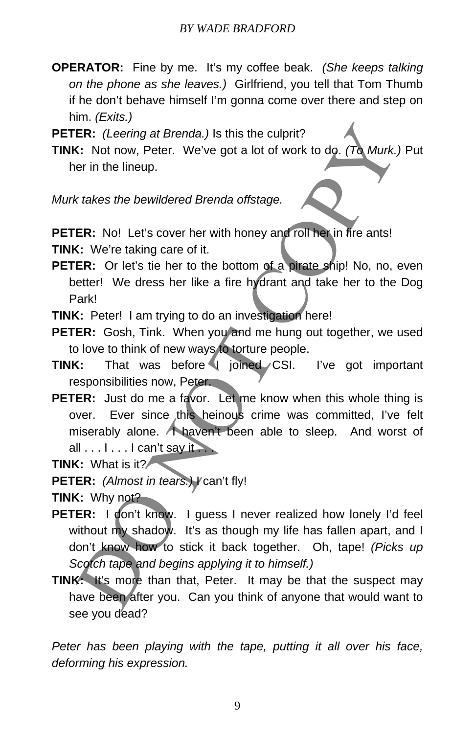**OPERATOR:** Fine by me. It's my coffee beak. *(She keeps talking on the phone as she leaves.)* Girlfriend, you tell that Tom Thumb if he don't behave himself I'm gonna come over there and step on him. *(Exits.)*

**PETER:** *(Leering at Brenda.)* Is this the culprit?

**TINK:** Not now, Peter. We've got a lot of work to do. *(To Murk.)* Put her in the lineup.

*Murk takes the bewildered Brenda offstage.* 

**PETER:** No! Let's cover her with honey and roll her in fire ants!

**TINK:** We're taking care of it.

**PETER:** Or let's tie her to the bottom of a pirate ship! No, no, even better! We dress her like a fire hydrant and take her to the Dog Park!

**TINK:** Peter! I am trying to do an investigation here!

**PETER:** Gosh, Tink. When you and me hung out together, we used to love to think of new ways to torture people.

- **TINK:** That was before I joined CSI. I've got important responsibilities now, Peter.
- **PETER:** Just do me a favor. Let me know when this whole thing is over. Ever since this heinous crime was committed, I've felt miserably alone. A haven't been able to sleep. And worst of all  $\dots$   $\dots$   $\dots$   $\dots$  can't say it  $\dots$ ER: (Leering at Brenda.) Is this the culprit?<br>
C: Not now, Peter. We've got a lot of work to do. (To Murk,<br>
er in the lineup.<br>
ER: No! Let's cover her with honey and foll her in fire ants!<br>
C: We're taking care of it.<br>
ER:

**TINK:** What is it?

**PETER:** *(Almost in tears.) V* can't fly!

**TINK:** Why not?

- PETER: I don't know. I guess I never realized how lonely I'd feel without my shadow. It's as though my life has fallen apart, and I don't know how to stick it back together. Oh, tape! *(Picks up Scotch tape and begins applying it to himself.)*
- **TINK:** It's more than that, Peter. It may be that the suspect may have been after you. Can you think of anyone that would want to see you dead?

*Peter has been playing with the tape, putting it all over his face, deforming his expression.*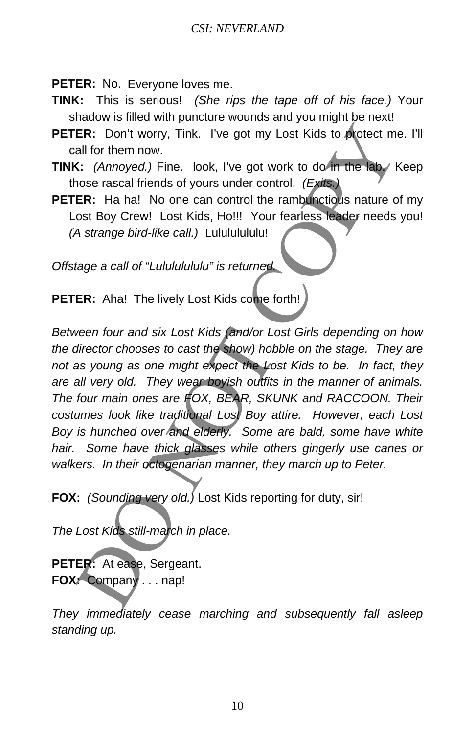**PETER:** No. Everyone loves me.

- **TINK:** This is serious! *(She rips the tape off of his face.)* Your shadow is filled with puncture wounds and you might be next!
- **PETER:** Don't worry, Tink. I've got my Lost Kids to protect me. I'll call for them now.
- **TINK:** *(Annoyed.)* Fine. look, I've got work to do in the lab. Keep those rascal friends of yours under control. *(Exits.)*
- **PETER:** Ha ha! No one can control the rambunctious nature of my Lost Boy Crew! Lost Kids, Ho!!! Your fearless leader needs you! *(A strange bird-like call.)* Lulululululu!

*Offstage a call of "Lulululululu" is returned.* 

**PETER:** Aha! The lively Lost Kids come forth!

*Between four and six Lost Kids (and/or Lost Girls depending on how the director chooses to cast the show) hobble on the stage. They are not as young as one might expect the Lost Kids to be. In fact, they are all very old. They wear boyish outfits in the manner of animals. The four main ones are FOX, BEAR, SKUNK and RACCOON. Their costumes look like traditional Lost Boy attire. However, each Lost Boy is hunched over and elderly. Some are bald, some have white hair. Some have thick glasses while others gingerly use canes or walkers. In their octogenarian manner, they march up to Peter.*  ER: Don't worry, Tink. I've got my Lost Kids to protect mail for them now.<br>
Solution them now.<br>
Solution them now (Alternative difference of the state of the state and tried and the state of the state of the state of state

**FOX:** *(Sounding very old.)* Lost Kids reporting for duty, sir!

*The Lost Kids still-march in place.* 

**PETER:** At ease, Sergeant. **FOX:** Company . . . nap!

*They immediately cease marching and subsequently fall asleep standing up.*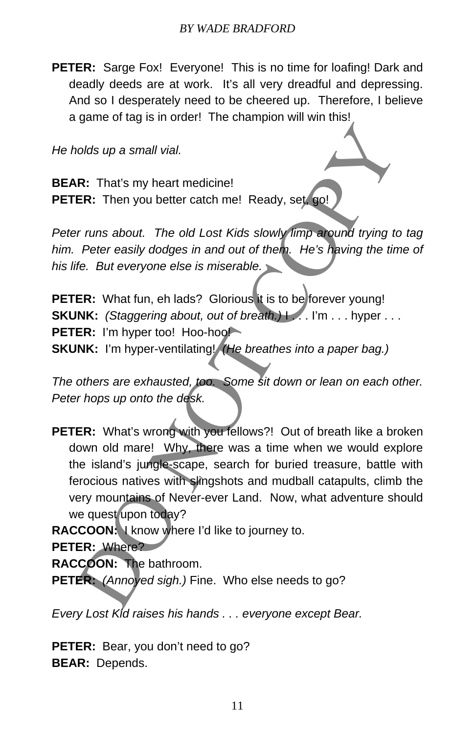**PETER:** Sarge Fox! Everyone! This is no time for loafing! Dark and deadly deeds are at work. It's all very dreadful and depressing. And so I desperately need to be cheered up. Therefore, I believe a game of tag is in order! The champion will win this!

*He holds up a small vial.* 

**BEAR:** That's my heart medicine! **PETER:** Then you better catch me! Ready, set, go!

*Peter runs about. The old Lost Kids slowly limp around trying to tag him. Peter easily dodges in and out of them. He's having the time of his life. But everyone else is miserable.* 

**PETER:** What fun, eh lads? Glorious it is to be forever young! **SKUNK:** *(Staggering about, out of breath.)* | ... I'm ... hyper ... **PETER:** I'm hyper too! Hoo-hoo! **SKUNK:** I'm hyper-ventilating! *(He breathes into a paper bag.)*

*The others are exhausted, too. Some sit down or lean on each other. Peter hops up onto the desk.* 

**PETER:** What's wrong with you fellows?! Out of breath like a broken down old mare! Why, there was a time when we would explore the island's jungle-scape, search for buried treasure, battle with ferocious natives with slingshots and mudball catapults, climb the very mountains of Never-ever Land. Now, what adventure should we quest upon today? bolds up a small vial.<br>
R: That's my heart medicine!<br>
ER: Then you better catch me! Ready, set (90!)<br>
From you better catch me! Ready, set (90!)<br>
Preter easily dodges in and out of them. He's having the time<br>
fee. But ever

**RACCOON:** I know where I'd like to journey to.

**PETER:** Where?

**RACCOON:** The bathroom.

**PETER:** *(Annoyed sigh.)* Fine. Who else needs to go?

*Every Lost Kid raises his hands . . . everyone except Bear.* 

**PETER:** Bear, you don't need to go? **BEAR:** Depends.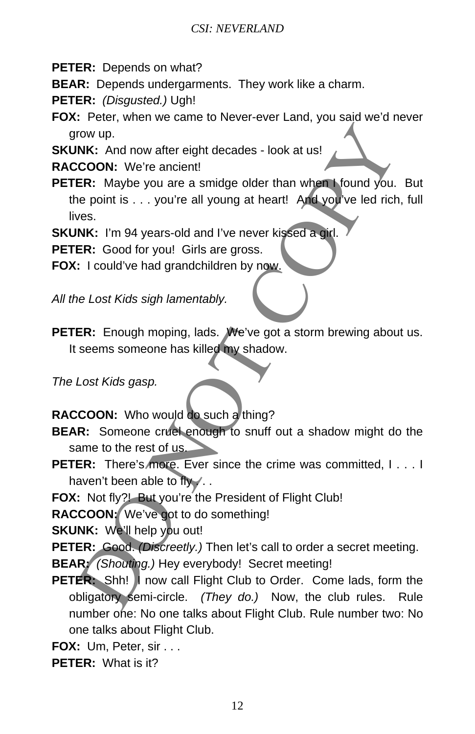**PETER:** Depends on what?

**BEAR:** Depends undergarments. They work like a charm.

**PETER:** *(Disgusted.)* Ugh!

**FOX:** Peter, when we came to Never-ever Land, you said we'd never grow up.

**SKUNK:** And now after eight decades - look at us!

**RACCOON:** We're ancient!

**PETER:** Maybe you are a smidge older than when I found you. But the point is . . . you're all young at heart! And you've led rich, full lives. The United States and the Coronaction Coronaction<br>
COON: We're ancient that when Mound you.<br>
The ER: Maybe you are a smidge older than when Mound you.<br>
The epoint is ... you're all young at heart! And you've led rich<br>
Wes.

**SKUNK:** I'm 94 years-old and I've never kissed a girl.

**PETER:** Good for you! Girls are gross.

**FOX:** I could've had grandchildren by now.

*All the Lost Kids sigh lamentably.* 

**PETER:** Enough moping, lads. We've got a storm brewing about us. It seems someone has killed my shadow.

*The Lost Kids gasp.* 

**RACCOON:** Who would do such a thing?

- **BEAR:** Someone cruel enough to snuff out a shadow might do the same to the rest of us.
- **PETER:** There's more. Ever since the crime was committed, I... I haven't been able to fly ...

**FOX:** Not fly?! But you're the President of Flight Club!

**RACCOON:** We've got to do something!

**SKUNK:** We'll help you out!

**PETER:** Good. *(Discreetly.)* Then let's call to order a secret meeting.

**BEAR:** *(Shouting.)* Hey everybody! Secret meeting!

- **PETER:** Shh! I now call Flight Club to Order. Come lads, form the obligatory semi-circle. *(They do.)* Now, the club rules. Rule number one: No one talks about Flight Club. Rule number two: No one talks about Flight Club.
- **FOX:** Um, Peter, sir . . .

**PETER:** What is it?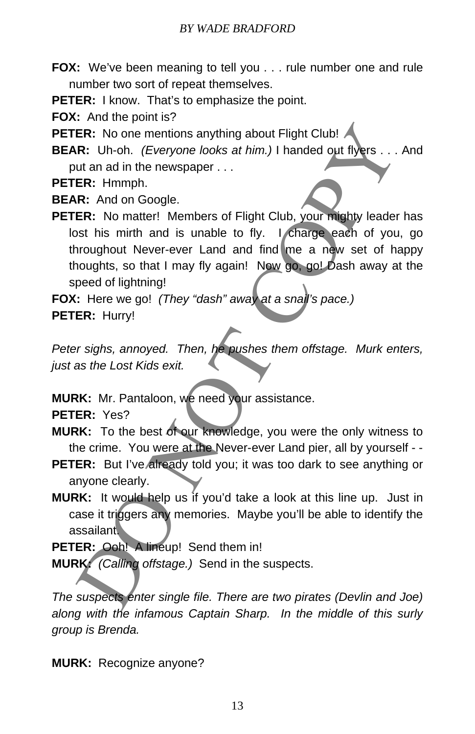**FOX:** We've been meaning to tell you . . . rule number one and rule number two sort of repeat themselves.

**PETER:** I know. That's to emphasize the point.

**FOX:** And the point is?

**PETER:** No one mentions anything about Flight Club!

**BEAR:** Uh-oh. *(Everyone looks at him.)* I handed out flyers . . . And put an ad in the newspaper . . .

**PETER:** Hmmph.

**BEAR:** And on Google.

**PETER:** No matter! Members of Flight Club, your mighty leader has lost his mirth and is unable to fly. I charge each of you, go throughout Never-ever Land and find me a new set of happy thoughts, so that I may fly again! Now go, go! Dash away at the speed of lightning! ER: No one mentions anything about Flight Club!<br>
R: Uh-oh. *(Everyone looks at him.)* I handed out flyers ...<br>
ut an ad in the newspaper ...<br>
ER: Hmmph.<br>
ER: And on Google.<br>
ER: No matter! Members of Flight Club, your migh

**FOX:** Here we go! *(They "dash" away at a snail's pace.)* **PETER:** Hurry!

*Peter sighs, annoyed. Then, he pushes them offstage. Murk enters, just as the Lost Kids exit.* 

**MURK:** Mr. Pantaloon, we need your assistance.

**PETER:** Yes?

**MURK:** To the best of our knowledge, you were the only witness to the crime. You were at the Never-ever Land pier, all by yourself - -

- **PETER:** But I've already told you; it was too dark to see anything or anyone clearly.
- **MURK:** It would help us if you'd take a look at this line up. Just in case it triggers any memories. Maybe you'll be able to identify the assailant.

PETER: Ooh! A lineup! Send them in!

**MURK:** *(Calling offstage.)* Send in the suspects.

*The suspects enter single file. There are two pirates (Devlin and Joe) along with the infamous Captain Sharp. In the middle of this surly group is Brenda.* 

**MURK:** Recognize anyone?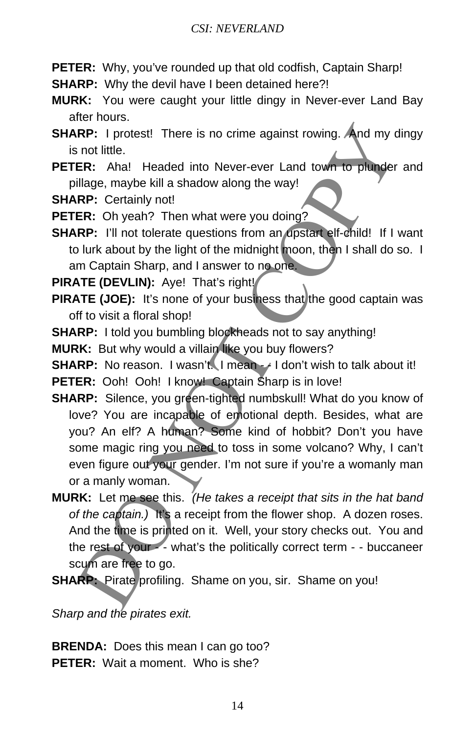- **PETER:** Why, you've rounded up that old codfish, Captain Sharp!
- **SHARP:** Why the devil have I been detained here?!
- **MURK:** You were caught your little dingy in Never-ever Land Bay after hours.
- **SHARP:** I protest! There is no crime against rowing. And my dingy is not little.
- **PETER:** Aha! Headed into Never-ever Land town to plunder and pillage, maybe kill a shadow along the way!
- **SHARP: Certainly not!**
- **PETER:** Oh yeah? Then what were you doing?
- **SHARP:** I'll not tolerate questions from an upstart elf-child! If I want to lurk about by the light of the midnight moon, then I shall do so. I am Captain Sharp, and I answer to no one.
- **PIRATE (DEVLIN):** Aye! That's right!
- **PIRATE (JOE):** It's none of your business that the good captain was off to visit a floral shop!
- **SHARP:** I told you bumbling blockheads not to say anything!

**MURK:** But why would a villain like you buy flowers?

**SHARP:** No reason. I wasn't. I mean - - I don't wish to talk about it! **PETER:** Ooh! Ooh! I know! Captain Sharp is in love!

- **SHARP:** Silence, you green-tighted numbskull! What do you know of love? You are incapable of emotional depth. Besides, what are you? An elf? A human? Some kind of hobbit? Don't you have some magic ring you need to toss in some volcano? Why, I can't even figure out your gender. I'm not sure if you're a womanly man or a manly woman. RP: 1 protest! There is no crime against rowing. And my circuitie.<br>
ER: Anal Headed into Never-ever Land town to plunder<br>
Illage, maybe kill a shadow along the way!<br>
IRP: Certainly not!<br>
RP: Certainly not!<br>
RP: Certainly n
- **MURK:** Let me see this. *(He takes a receipt that sits in the hat band of the captain.)* It's a receipt from the flower shop. A dozen roses. And the time is printed on it. Well, your story checks out. You and the rest of your - - what's the politically correct term - - buccaneer scum are free to go.

**SHARP:** Pirate profiling. Shame on you, sir. Shame on you!

*Sharp and the pirates exit.* 

**BRENDA:** Does this mean I can go too? **PETER:** Wait a moment. Who is she?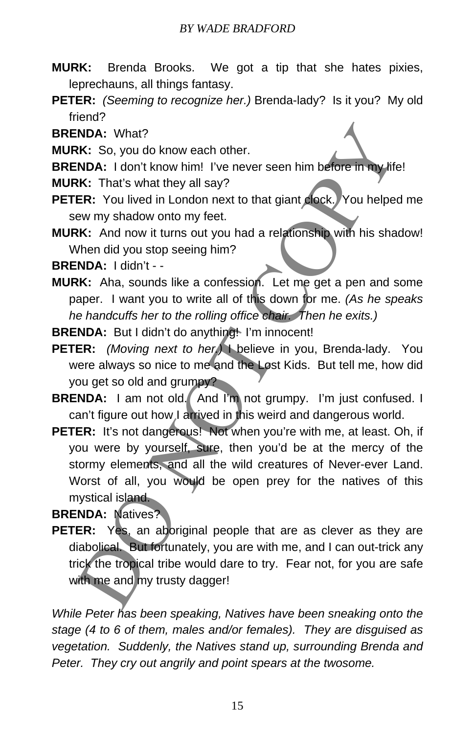#### *BY WADE BRADFORD*

- **MURK:** Brenda Brooks. We got a tip that she hates pixies, leprechauns, all things fantasy.
- **PETER:** *(Seeming to recognize her.)* Brenda-lady? Is it you? My old friend?

**BRENDA:** What?

- **MURK:** So, you do know each other.
- **BRENDA:** I don't know him! I've never seen him before in my life!
- **MURK:** That's what they all say?
- **PETER:** You lived in London next to that giant clock. You helped me sew my shadow onto my feet.
- **MURK:** And now it turns out you had a relationship with his shadow! When did you stop seeing him?

**BRENDA:** I didn't - -

**MURK:** Aha, sounds like a confession. Let me get a pen and some paper. I want you to write all of this down for me. *(As he speaks he handcuffs her to the rolling office chair. Then he exits.)*

**BRENDA:** But I didn't do anything! I'm innocent!

- **PETER:** *(Moving next to her.)* I believe in you, Brenda-lady. You were always so nice to me and the Lost Kids. But tell me, how did you get so old and grumpy?
- **BRENDA:** I am not old. And I'm not grumpy. I'm just confused. I can't figure out how I arrived in this weird and dangerous world.
- **PETER:** It's not dangerous! Not when you're with me, at least. Oh, if you were by yourself, sure, then you'd be at the mercy of the stormy elements, and all the wild creatures of Never-ever Land. Worst of all, you would be open prey for the natives of this mystical island. INDA: What?<br>
INDA: What?<br>
INDA: I don't know weach other.<br>
INDA: I don't know him! I've never seen him before in my life<br>
IKK: That's what they all say?<br>
IER: You lived in London next to that giant gock. You helpee<br>
ew my

**BRENDA:** Natives?

**PETER:** Yes, an aboriginal people that are as clever as they are diabolical. But fortunately, you are with me, and I can out-trick any trick the tropical tribe would dare to try. Fear not, for you are safe with me and my trusty dagger!

*While Peter has been speaking, Natives have been sneaking onto the stage (4 to 6 of them, males and/or females). They are disguised as vegetation. Suddenly, the Natives stand up, surrounding Brenda and Peter. They cry out angrily and point spears at the twosome.*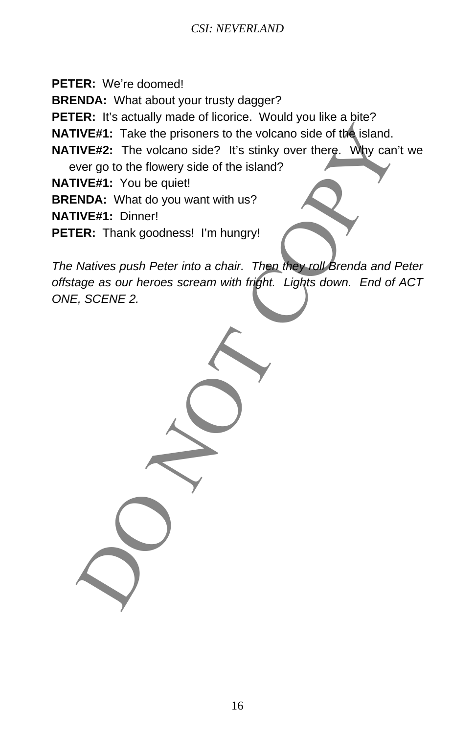**PETER:** We're doomed!

**BRENDA:** What about your trusty dagger?

PETER: It's actually made of licorice. Would you like a bite?

**NATIVE#1:** Take the prisoners to the volcano side of the island.

**NATIVE#2:** The volcano side? It's stinky over there. Why can't we

ever go to the flowery side of the island?

**NATIVE#1:** You be quiet!

**BRENDA:** What do you want with us?

**NATIVE#1:** Dinner!

**PETER:** Thank goodness! I'm hungry!

*The Natives push Peter into a chair. Then they roll Brenda and Peter offstage as our heroes scream with fright. Lights down. End of ACT ONE, SCENE 2.*  IVE#1: Take the prisoners to the volcano side of the island.<br>IVE#2: The volcano side? It's stinky over there. Why can't<br>WE#1: You be quiet!<br>IVE#1: You be quiet!<br>IVE#1: You be quiet!<br>IVE#1: Dinner!<br>IVE#1: Dinner!<br>IVE#1: Din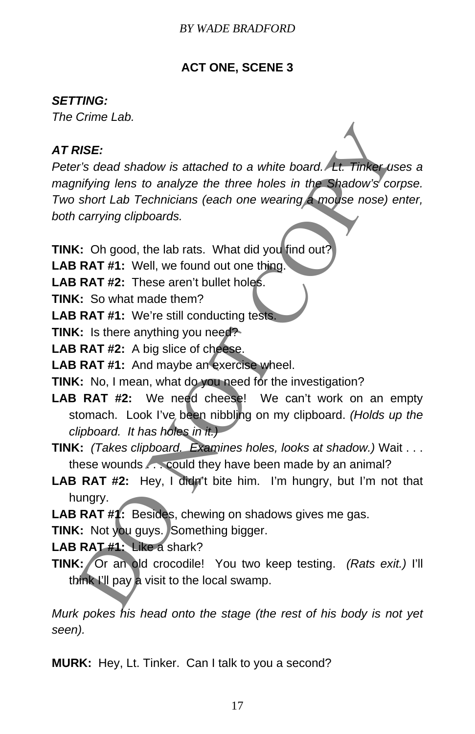## **ACT ONE, SCENE 3**

#### *SETTING:*

*The Crime Lab.* 

## *AT RISE:*

*Peter's dead shadow is attached to a white board. Lt. Tinker uses a*  magnifying lens to analyze the three holes in the Shadow's corpse. *Two short Lab Technicians (each one wearing a mouse nose) enter, both carrying clipboards.*  **RISE:**<br> **RISE:**<br>
The strain of the strain of the strain of the strain of the strain infinity lens to analyze the three holes in the Shadow's constraint Lab Technicians (each one wearing a moles nose) e<br>
carrying clipboard

**TINK:** Oh good, the lab rats. What did you find out?

**LAB RAT #1:** Well, we found out one thing.

**LAB RAT #2:** These aren't bullet holes.

**TINK:** So what made them?

LAB RAT #1: We're still conducting tests.

**TINK:** Is there anything you need?

LAB RAT #2: A big slice of cheese.

- **LAB RAT #1:** And maybe an exercise wheel.
- **TINK:** No, I mean, what do you need for the investigation?
- LAB RAT #2: We need cheese! We can't work on an empty stomach. Look I've been nibbling on my clipboard. *(Holds up the clipboard. It has holes in it.)*
- **TINK:** *(Takes clipboard. Examines holes, looks at shadow.)* Wait . . . these wounds . . . could they have been made by an animal?
- **LAB RAT #2:** Hey, I didn't bite him. I'm hungry, but I'm not that hungry.
- **LAB RAT #1:** Besides, chewing on shadows gives me gas.

**TINK:** Not you guys. Something bigger.

**LAB RAT #1:** Like a shark?

**TINK:** Or an old crocodile! You two keep testing. *(Rats exit.)* I'll think I'll pay a visit to the local swamp.

*Murk pokes his head onto the stage (the rest of his body is not yet seen).* 

**MURK:** Hey, Lt. Tinker. Can I talk to you a second?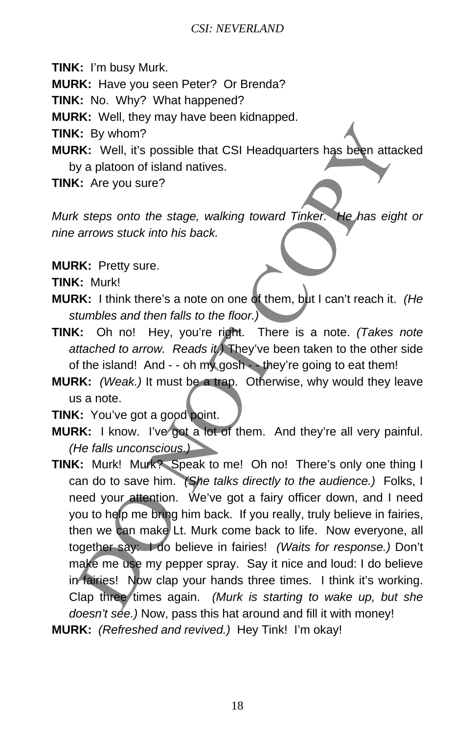**TINK:** I'm busy Murk.

**MURK:** Have you seen Peter? Or Brenda?

**TINK:** No. Why? What happened?

**MURK:** Well, they may have been kidnapped.

**TINK:** By whom?

**MURK:** Well, it's possible that CSI Headquarters has been attacked by a platoon of island natives.

**TINK:** Are you sure?

*Murk steps onto the stage, walking toward Tinker. He has eight or nine arrows stuck into his back.* 

**MURK:** Pretty sure.

**TINK:** Murk!

- **MURK:** I think there's a note on one of them, but I can't reach it. *(He stumbles and then falls to the floor.)*
- **TINK:** Oh no! Hey, you're right. There is a note. *(Takes note attached to arrow. Reads it.)* They've been taken to the other side of the island! And - - oh my gosh - - they're going to eat them!
- **MURK:** *(Weak.)* It must be a trap. Otherwise, why would they leave us a note.

**TINK:** You've got a good point.

- **MURK:** I know. I've got a lot of them. And they're all very painful. *(He falls unconscious.)*
- **TINK:** Murk! Murk? Speak to me! Oh no! There's only one thing I can do to save him. *(She talks directly to the audience.)* Folks, I need your attention. We've got a fairy officer down, and I need you to help me bring him back. If you really, truly believe in fairies, then we can make Lt. Murk come back to life. Now everyone, all together say: I do believe in fairies! *(Waits for response.)* Don't make me use my pepper spray. Say it nice and loud: I do believe in fairies! Now clap your hands three times. I think it's working. Clap three times again. *(Murk is starting to wake up, but she doesn't see.)* Now, pass this hat around and fill it with money! C: By whom?<br>
C: Sey whom?<br>
C: Well, it's possible that CSI Headquarters has been attastically a platoon of island natives.<br>
C: Are you sure?<br>
C: Are you sure?<br>
C: Are you sure?<br>
C: Are you sure?<br>
C: Are you sure?<br>
C: Are y
- **MURK:** *(Refreshed and revived.)* Hey Tink! I'm okay!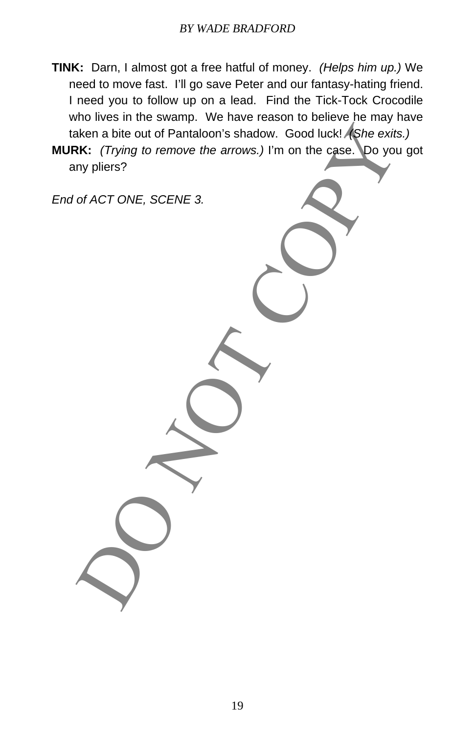- **TINK:** Darn, I almost got a free hatful of money. *(Helps him up.)* We need to move fast. I'll go save Peter and our fantasy-hating friend. I need you to follow up on a lead. Find the Tick-Tock Crocodile who lives in the swamp. We have reason to believe he may have taken a bite out of Pantaloon's shadow. Good luck! *(She exits.)*
- **MURK:** *(Trying to remove the arrows.)* I'm on the case. Do you got any pliers? Aken a bite out of Pantaloon's shadow. Good luck! As the exits.<br>
IR: (Trying to remove the arrows.) I'm on the case. Do you<br>
ny pliers?<br>
of ACT ONE, SCENE 3.

*End of ACT ONE, SCENE 3.*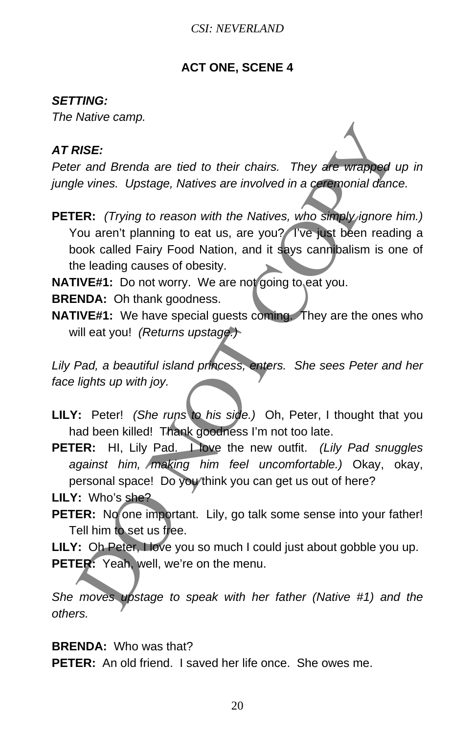#### **ACT ONE, SCENE 4**

#### *SETTING:*

*The Native camp.* 

## *AT RISE:*

Peter and Brenda are tied to their chairs. They are wrapped up in *jungle vines. Upstage, Natives are involved in a ceremonial dance.* 

**PETER:** *(Trying to reason with the Natives, who simply ignore him.)* You aren't planning to eat us, are you? I've just been reading a book called Fairy Food Nation, and it says cannibalism is one of the leading causes of obesity. **RISE:**<br>
They are transformed are tied to their chairs. They are wrapped to their solutions. Upstage, Natives are involved in a ceremonial dance of the Vinter Core Control planning to eat us, are you? The just been readion

**NATIVE#1:** Do not worry. We are not going to eat you.

**BRENDA:** Oh thank goodness.

**NATIVE#1:** We have special guests coming. They are the ones who will eat you! *(Returns upstage.)*

*Lily Pad, a beautiful island princess, enters. She sees Peter and her face lights up with joy.* 

- **LILY:** Peter! *(She runs to his side.)* Oh, Peter, I thought that you had been killed! Thank goodness I'm not too late.
- **PETER:** HI, Lily Pad. I love the new outfit. *(Lily Pad snuggles against him, making him feel uncomfortable.)* Okay, okay, personal space! Do you think you can get us out of here?

**LILY:** Who's she?

PETER: No one important. Lily, go talk some sense into your father! Tell him to set us free.

LILY: Oh Peter, I love you so much I could just about gobble you up. **PETER:** Yeah, well, we're on the menu.

*She moves upstage to speak with her father (Native #1) and the others.* 

**BRENDA:** Who was that?

**PETER:** An old friend. I saved her life once. She owes me.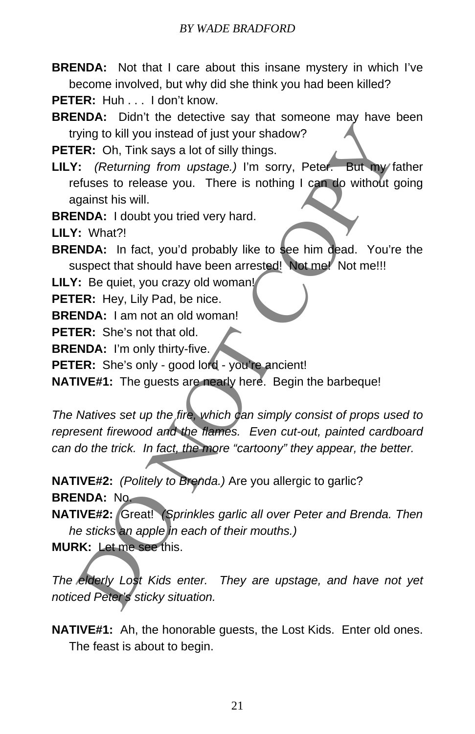**BRENDA:** Not that I care about this insane mystery in which I've become involved, but why did she think you had been killed?

**PETER:** Huh ... I don't know.

**BRENDA:** Didn't the detective say that someone may have been trying to kill you instead of just your shadow?

**PETER:** Oh, Tink says a lot of silly things.

**LILY:** *(Returning from upstage.)* I'm sorry, Peter. But my father refuses to release you. There is nothing I can do without going against his will.

**BRENDA:** I doubt you tried very hard.

**LILY:** What?!

**BRENDA:** In fact, you'd probably like to see him dead. You're the suspect that should have been arrested! Not me! Not me!!!

LILY: Be quiet, you crazy old woman!

**PETER:** Hey, Lily Pad, be nice.

**BRENDA:** I am not an old woman!

**PETER:** She's not that old.

**BRENDA:** I'm only thirty-five.

**PETER:** She's only - good lord - you're ancient!

**NATIVE#1:** The guests are nearly here. Begin the barbeque!

*The Natives set up the fire, which can simply consist of props used to represent firewood and the flames. Even cut-out, painted cardboard can do the trick. In fact, the more "cartoony" they appear, the better.*  ving to kill you instead of just your shadow?<br>
ER: Oh, Tink says a lot of silly things.<br>
": (Returning from upstage.) I'm sorry, Peter. But my fattes<br>
the tisse to release you. There is nothing I can do without g<br>
gainst h

**NATIVE#2:** *(Politely to Brenda.)* Are you allergic to garlic? **BRENDA:** No.

**NATIVE#2:** Great! *(Sprinkles garlic all over Peter and Brenda. Then he sticks an apple in each of their mouths.)*

**MURK:** Let me see this.

*The elderly Lost Kids enter. They are upstage, and have not yet noticed Peter's sticky situation.* 

**NATIVE#1:** Ah, the honorable guests, the Lost Kids. Enter old ones. The feast is about to begin.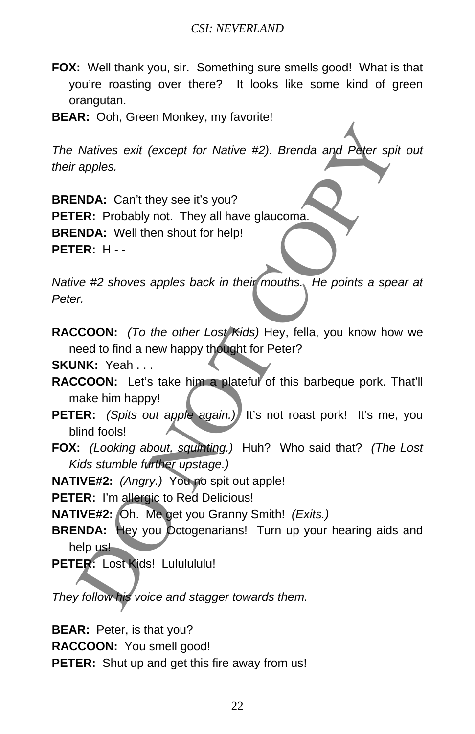- **FOX:** Well thank you, sir. Something sure smells good! What is that you're roasting over there? It looks like some kind of green orangutan.
- **BEAR:** Ooh, Green Monkey, my favorite!

*The Natives exit (except for Native #2). Brenda and Peter spit out their apples.* 

**BRENDA:** Can't they see it's you? **PETER:** Probably not. They all have glaucoma. **BRENDA:** Well then shout for help! **PETER:** H - - Natives exit (except for Native #2). Brenda and Peter spi<br>apples.<br>
NDA: Can't they see it's you?<br>
RINDA: Well then shout for help!<br>
NDA: Well then shout for help!<br>
RINDA: Well then shout for help!<br>
DER: H --<br>
ve #2 shoves

*Native #2 shoves apples back in their mouths. He points a spear at Peter.* 

**RACCOON:** *(To the other Lost Kids)* Hey, fella, you know how we need to find a new happy thought for Peter?

**SKUNK:** Yeah . . .

- **RACCOON:** Let's take him a plateful of this barbeque pork. That'll make him happy!
- **PETER:** *(Spits out apple again.)* It's not roast pork! It's me, you blind fools!
- **FOX:** *(Looking about, squinting.)* Huh? Who said that? *(The Lost Kids stumble further upstage.)*

**NATIVE#2:** *(Angry.)* You no spit out apple!

PETER: I'm allergic to Red Delicious!

**NATIVE#2:** Oh. Me get you Granny Smith! *(Exits.)*

**BRENDA:** Hey you Octogenarians! Turn up your hearing aids and help us!

PETER: Lost Kids! Lululululu!

*They follow his voice and stagger towards them.* 

**BEAR:** Peter, is that you?

**RACCOON:** You smell good!

**PETER:** Shut up and get this fire away from us!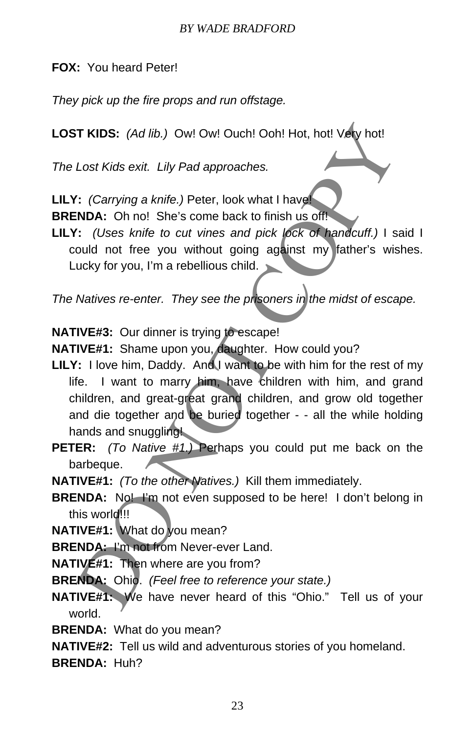**FOX:** You heard Peter!

*They pick up the fire props and run offstage.* 

**LOST KIDS:** *(Ad lib.)* Ow! Ow! Ouch! Ooh! Hot, hot! Very hot!

*The Lost Kids exit. Lily Pad approaches.* 

**LILY:** *(Carrying a knife.)* Peter, look what I have!

**BRENDA:** Oh no! She's come back to finish us off!

**LILY:** *(Uses knife to cut vines and pick lock of handcuff.)* I said I could not free you without going against my father's wishes. Lucky for you, I'm a rebellious child.

*The Natives re-enter. They see the prisoners in the midst of escape.* 

**NATIVE#3:** Our dinner is trying to escape!

**NATIVE#1:** Shame upon you, daughter. How could you?

- **LILY:** I love him, Daddy. And I want to be with him for the rest of my life. I want to marry him, have children with him, and grand children, and great-great grand children, and grow old together and die together and be buried together - - all the while holding hands and snuggling! T KIDS: (Ad lib.) Ow! Ow! Ouch! Ooh! Hot, hot! Vety hot!<br>
Lost Kids exit. Lily Pad approaches.<br>
: (Carrying a knife.) Peter, look what I have<br>
NDA: Oh no! She's come back to finish us off!<br>
: (Uses knife to cut vines and p
- **PETER:** *(To Native #1.)* Perhaps you could put me back on the barbeque.

**NATIVE#1:** *(To the other Natives.)* Kill them immediately.

**BRENDA:** No! I'm not even supposed to be here! I don't belong in this world!!!

**NATIVE#1:** What do you mean?

**BRENDA:** I'm not from Never-ever Land.

**NATIVE#1:** Then where are you from?

**BRENDA:** Ohio. *(Feel free to reference your state.)* 

**NATIVE#1:** We have never heard of this "Ohio." Tell us of your world.

**BRENDA:** What do you mean?

**NATIVE#2:** Tell us wild and adventurous stories of you homeland.

**BRENDA:** Huh?